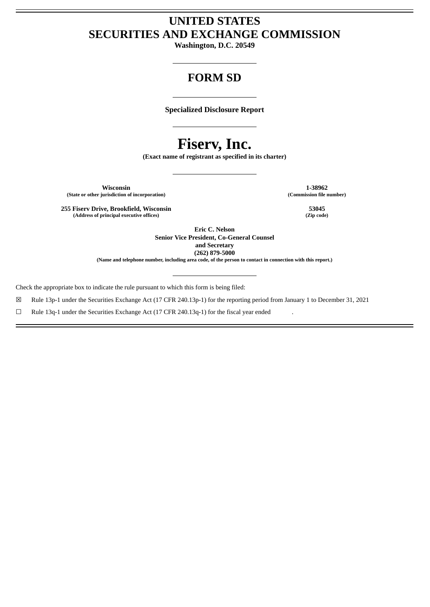# **UNITED STATES SECURITIES AND EXCHANGE COMMISSION**

**Washington, D.C. 20549**

# **FORM SD**

**Specialized Disclosure Report**

# **Fiserv, Inc.**

**(Exact name of registrant as specified in its charter)**

**Wisconsin 1-38962 (State or other jurisdiction of incorporation) (Commission file number)**

**255 Fiserv Drive, Brookfield, Wisconsin 53045 (Address of principal executive offices) (Zip code)**

> **Eric C. Nelson Senior Vice President, Co-General Counsel and Secretary (262) 879-5000**

(Name and telephone number, including area code, of the person to contact in connection with this report.)

Check the appropriate box to indicate the rule pursuant to which this form is being filed:

☒ Rule 13p-1 under the Securities Exchange Act (17 CFR 240.13p-1) for the reporting period from January 1 to December 31, 2021

 $\Box$  Rule 13q-1 under the Securities Exchange Act (17 CFR 240.13q-1) for the fiscal year ended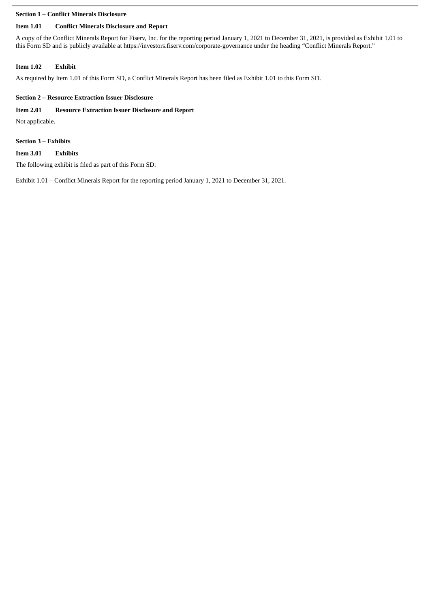#### **Section 1 – Conflict Minerals Disclosure**

# **Item 1.01 Conflict Minerals Disclosure and Report**

A copy of the Conflict Minerals Report for Fiserv, Inc. for the reporting period January 1, 2021 to December 31, 2021, is provided as Exhibit 1.01 to this Form SD and is publicly available at https://investors.fiserv.com/corporate-governance under the heading "Conflict Minerals Report."

# **Item 1.02 Exhibit**

As required by Item 1.01 of this Form SD, a Conflict Minerals Report has been filed as Exhibit 1.01 to this Form SD.

# **Section 2 – Resource Extraction Issuer Disclosure**

# **Item 2.01 Resource Extraction Issuer Disclosure and Report**

Not applicable.

## **Section 3 – Exhibits**

# **Item 3.01 Exhibits**

The following exhibit is filed as part of this Form SD:

Exhibit 1.01 – Conflict Minerals Report for the reporting period January 1, 2021 to December 31, 2021.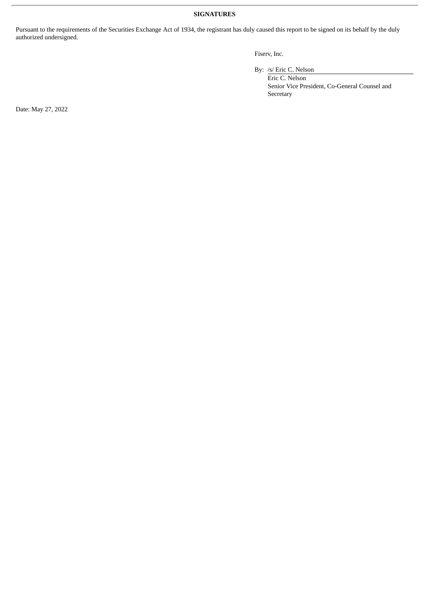#### **SIGNATURES**

Pursuant to the requirements of the Securities Exchange Act of 1934, the registrant has duly caused this report to be signed on its behalf by the duly authorized undersigned.

#### Fiserv, Inc.

By: /s/ Eric C. Nelson

Eric C. Nelson Senior Vice President, Co-General Counsel and Secretary

Date: May 27, 2022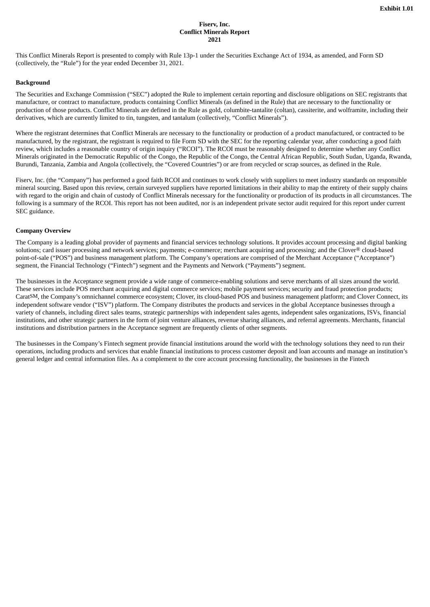#### **Fiserv, Inc. Conflict Minerals Report 2021**

This Conflict Minerals Report is presented to comply with Rule 13p-1 under the Securities Exchange Act of 1934, as amended, and Form SD (collectively, the "Rule") for the year ended December 31, 2021.

#### **Background**

The Securities and Exchange Commission ("SEC") adopted the Rule to implement certain reporting and disclosure obligations on SEC registrants that manufacture, or contract to manufacture, products containing Conflict Minerals (as defined in the Rule) that are necessary to the functionality or production of those products. Conflict Minerals are defined in the Rule as gold, columbite-tantalite (coltan), cassiterite, and wolframite, including their derivatives, which are currently limited to tin, tungsten, and tantalum (collectively, "Conflict Minerals").

Where the registrant determines that Conflict Minerals are necessary to the functionality or production of a product manufactured, or contracted to be manufactured, by the registrant, the registrant is required to file Form SD with the SEC for the reporting calendar year, after conducting a good faith review, which includes a reasonable country of origin inquiry ("RCOI"). The RCOI must be reasonably designed to determine whether any Conflict Minerals originated in the Democratic Republic of the Congo, the Republic of the Congo, the Central African Republic, South Sudan, Uganda, Rwanda, Burundi, Tanzania, Zambia and Angola (collectively, the "Covered Countries") or are from recycled or scrap sources, as defined in the Rule.

Fiserv, Inc. (the "Company") has performed a good faith RCOI and continues to work closely with suppliers to meet industry standards on responsible mineral sourcing. Based upon this review, certain surveyed suppliers have reported limitations in their ability to map the entirety of their supply chains with regard to the origin and chain of custody of Conflict Minerals necessary for the functionality or production of its products in all circumstances. The following is a summary of the RCOI. This report has not been audited, nor is an independent private sector audit required for this report under current SEC guidance.

#### **Company Overview**

The Company is a leading global provider of payments and financial services technology solutions. It provides account processing and digital banking solutions; card issuer processing and network services; payments; e-commerce; merchant acquiring and processing; and the Clover® cloud-based point-of-sale ("POS") and business management platform. The Company's operations are comprised of the Merchant Acceptance ("Acceptance") segment, the Financial Technology ("Fintech") segment and the Payments and Network ("Payments") segment.

The businesses in the Acceptance segment provide a wide range of commerce-enabling solutions and serve merchants of all sizes around the world. These services include POS merchant acquiring and digital commerce services; mobile payment services; security and fraud protection products; CaratSM, the Company's omnichannel commerce ecosystem; Clover, its cloud-based POS and business management platform; and Clover Connect, its independent software vendor ("ISV") platform. The Company distributes the products and services in the global Acceptance businesses through a variety of channels, including direct sales teams, strategic partnerships with independent sales agents, independent sales organizations, ISVs, financial institutions, and other strategic partners in the form of joint venture alliances, revenue sharing alliances, and referral agreements. Merchants, financial institutions and distribution partners in the Acceptance segment are frequently clients of other segments.

The businesses in the Company's Fintech segment provide financial institutions around the world with the technology solutions they need to run their operations, including products and services that enable financial institutions to process customer deposit and loan accounts and manage an institution's general ledger and central information files. As a complement to the core account processing functionality, the businesses in the Fintech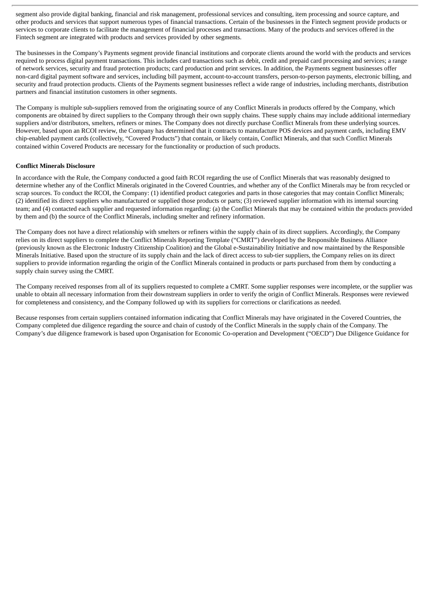segment also provide digital banking, financial and risk management, professional services and consulting, item processing and source capture, and other products and services that support numerous types of financial transactions. Certain of the businesses in the Fintech segment provide products or services to corporate clients to facilitate the management of financial processes and transactions. Many of the products and services offered in the Fintech segment are integrated with products and services provided by other segments.

The businesses in the Company's Payments segment provide financial institutions and corporate clients around the world with the products and services required to process digital payment transactions. This includes card transactions such as debit, credit and prepaid card processing and services; a range of network services, security and fraud protection products; card production and print services. In addition, the Payments segment businesses offer non-card digital payment software and services, including bill payment, account-to-account transfers, person-to-person payments, electronic billing, and security and fraud protection products. Clients of the Payments segment businesses reflect a wide range of industries, including merchants, distribution partners and financial institution customers in other segments.

The Company is multiple sub-suppliers removed from the originating source of any Conflict Minerals in products offered by the Company, which components are obtained by direct suppliers to the Company through their own supply chains. These supply chains may include additional intermediary suppliers and/or distributors, smelters, refiners or mines. The Company does not directly purchase Conflict Minerals from these underlying sources. However, based upon an RCOI review, the Company has determined that it contracts to manufacture POS devices and payment cards, including EMV chip-enabled payment cards (collectively, "Covered Products") that contain, or likely contain, Conflict Minerals, and that such Conflict Minerals contained within Covered Products are necessary for the functionality or production of such products.

#### **Conflict Minerals Disclosure**

In accordance with the Rule, the Company conducted a good faith RCOI regarding the use of Conflict Minerals that was reasonably designed to determine whether any of the Conflict Minerals originated in the Covered Countries, and whether any of the Conflict Minerals may be from recycled or scrap sources. To conduct the RCOI, the Company: (1) identified product categories and parts in those categories that may contain Conflict Minerals; (2) identified its direct suppliers who manufactured or supplied those products or parts; (3) reviewed supplier information with its internal sourcing team; and (4) contacted each supplier and requested information regarding: (a) the Conflict Minerals that may be contained within the products provided by them and (b) the source of the Conflict Minerals, including smelter and refinery information.

The Company does not have a direct relationship with smelters or refiners within the supply chain of its direct suppliers. Accordingly, the Company relies on its direct suppliers to complete the Conflict Minerals Reporting Template ("CMRT") developed by the Responsible Business Alliance (previously known as the Electronic Industry Citizenship Coalition) and the Global e-Sustainability Initiative and now maintained by the Responsible Minerals Initiative. Based upon the structure of its supply chain and the lack of direct access to sub-tier suppliers, the Company relies on its direct suppliers to provide information regarding the origin of the Conflict Minerals contained in products or parts purchased from them by conducting a supply chain survey using the CMRT.

The Company received responses from all of its suppliers requested to complete a CMRT. Some supplier responses were incomplete, or the supplier was unable to obtain all necessary information from their downstream suppliers in order to verify the origin of Conflict Minerals. Responses were reviewed for completeness and consistency, and the Company followed up with its suppliers for corrections or clarifications as needed.

Because responses from certain suppliers contained information indicating that Conflict Minerals may have originated in the Covered Countries, the Company completed due diligence regarding the source and chain of custody of the Conflict Minerals in the supply chain of the Company. The Company's due diligence framework is based upon Organisation for Economic Co-operation and Development ("OECD") Due Diligence Guidance for